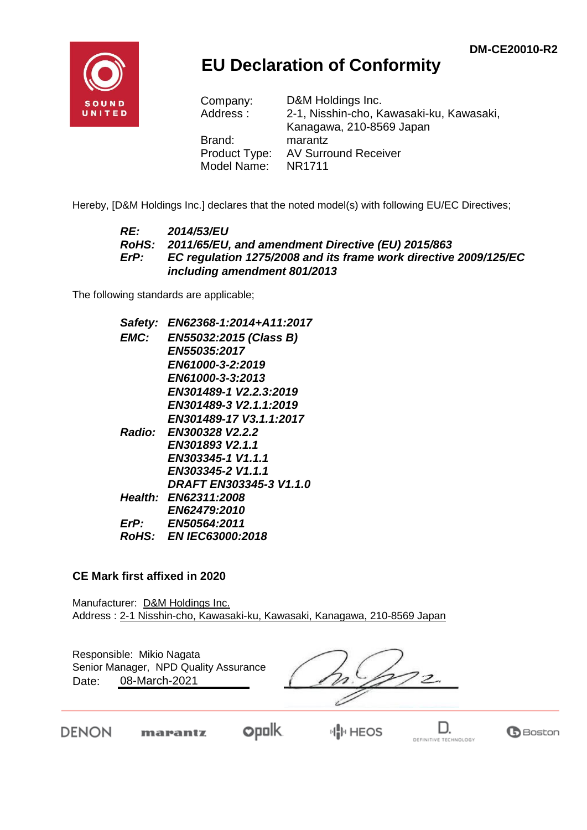

## **EU Declaration of Conformity**

| Company:      | D&M Holdings Inc.                        |
|---------------|------------------------------------------|
| Address:      | 2-1, Nisshin-cho, Kawasaki-ku, Kawasaki, |
|               | Kanagawa, 210-8569 Japan                 |
| Brand:        | marantz                                  |
| Product Type: | <b>AV Surround Receiver</b>              |
| Model Name:   | NR1711                                   |

Hereby, [D&M Holdings Inc.] declares that the noted model(s) with following EU/EC Directives;

#### *RE: 2014/53/EU RoHS: 2011/65/EU, and amendment Directive (EU) 2015/863 ErP: EC regulation 1275/2008 and its frame work directive 2009/125/EC including amendment 801/2013*

The following standards are applicable;

| Safety:     | EN62368-1:2014+A11:2017       |
|-------------|-------------------------------|
| <b>EMC:</b> | EN55032:2015 (Class B)        |
|             | <i><b>EN55035:2017</b></i>    |
|             | EN61000-3-2:2019              |
|             | EN61000-3-3:2013              |
|             | EN301489-1 V2.2.3:2019        |
|             | EN301489-3 V2.1.1:2019        |
|             | EN301489-17 V3.1.1:2017       |
|             | Radio: EN300328 V2.2.2        |
|             | EN301893 V2.1.1               |
|             | EN303345-1 V1.1.1             |
|             | EN303345-2 V1.1.1             |
|             | DRAFT EN303345-3 V1.1.0       |
|             | <b>Health: EN62311:2008</b>   |
|             | <b>EN62479:2010</b>           |
| ErP:        | EN50564:2011                  |
|             | <i>RoHS: EN IEC63000:2018</i> |
|             |                               |

#### **CE Mark first affixed in 2020**

Manufacturer: D&M Holdings Inc. Address : 2-1 Nisshin-cho, Kawasaki-ku, Kawasaki, Kanagawa, 210-8569 Japan

| Responsible: Mikio Nagata<br>Senior Manager, NPD Quality Assurance<br>08-March-2021<br>Date: |  |
|----------------------------------------------------------------------------------------------|--|
| $- -$                                                                                        |  |

DENON

**opolk** marantz

⊬∥<mark>⊩</mark> HEOS



**G**Boston